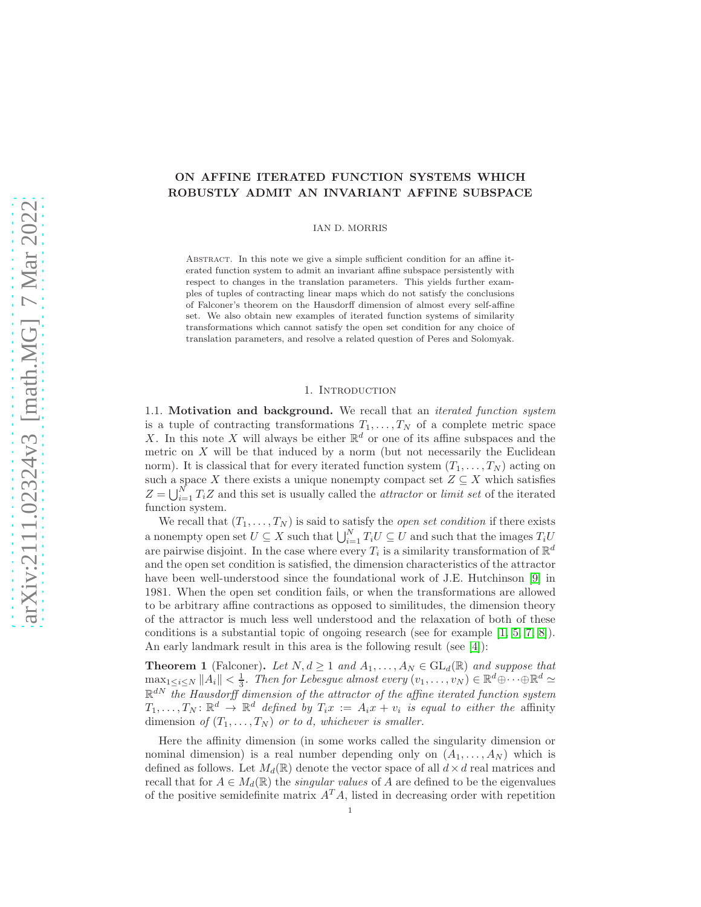# ON AFFINE ITERATED FUNCTION SYSTEMS WHICH ROBUSTLY ADMIT AN INVARIANT AFFINE SUBSPACE

IAN D. MORRIS

Abstract. In this note we give a simple sufficient condition for an affine iterated function system to admit an invariant affine subspace persistently with respect to changes in the translation parameters. This yields further examples of tuples of contracting linear maps which do not satisfy the conclusions of Falconer's theorem on the Hausdorff dimension of almost every self-affine set. We also obtain new examples of iterated function systems of similarity transformations which cannot satisfy the open set condition for any choice of translation parameters, and resolve a related question of Peres and Solomyak.

# 1. INTRODUCTION

1.1. Motivation and background. We recall that an *iterated function system* is a tuple of contracting transformations  $T_1, \ldots, T_N$  of a complete metric space X. In this note X will always be either  $\mathbb{R}^d$  or one of its affine subspaces and the metric on  $X$  will be that induced by a norm (but not necessarily the Euclidean norm). It is classical that for every iterated function system  $(T_1, \ldots, T_N)$  acting on such a space X there exists a unique nonempty compact set  $Z \subseteq X$  which satisfies  $Z = \bigcup_{i=1}^{N} T_i Z$  and this set is usually called the *attractor* or *limit set* of the iterated function system.

We recall that  $(T_1, \ldots, T_N)$  is said to satisfy the *open set condition* if there exists a nonempty open set  $U \subseteq X$  such that  $\bigcup_{i=1}^{N} T_i U \subseteq U$  and such that the images  $T_i U$ are pairwise disjoint. In the case where every  $T_i$  is a similarity transformation of  $\mathbb{R}^d$ and the open set condition is satisfied, the dimension characteristics of the attractor have been well-understood since the foundational work of J.E. Hutchinson [\[9\]](#page-10-0) in 1981. When the open set condition fails, or when the transformations are allowed to be arbitrary affine contractions as opposed to similitudes, the dimension theory of the attractor is much less well understood and the relaxation of both of these conditions is a substantial topic of ongoing research (see for example [\[1,](#page-10-1) [5,](#page-10-2) [7,](#page-10-3) [8\]](#page-10-4)). An early landmark result in this area is the following result (see [\[4\]](#page-10-5)):

<span id="page-0-0"></span>**Theorem 1** (Falconer). Let  $N, d \geq 1$  and  $A_1, \ldots, A_N \in GL_d(\mathbb{R})$  and suppose that  $\max_{1 \leq i \leq N} ||A_i|| < \frac{1}{3}$ . Then for Lebesgue almost every  $(v_1, \ldots, v_N) \in \mathbb{R}^d \oplus \cdots \oplus \mathbb{R}^d \simeq$  $\mathbb{R}^{dN}$  the Hausdorff dimension of the attractor of the affine iterated function system  $T_1, \ldots, T_N \colon \mathbb{R}^d \to \mathbb{R}^d$  defined by  $T_i x := A_i x + v_i$  is equal to either the affinity dimension of  $(T_1, \ldots, T_N)$  or to d, whichever is smaller.

Here the affinity dimension (in some works called the singularity dimension or nominal dimension) is a real number depending only on  $(A_1, \ldots, A_N)$  which is defined as follows. Let  $M_d(\mathbb{R})$  denote the vector space of all  $d \times d$  real matrices and recall that for  $A \in M_d(\mathbb{R})$  the *singular values* of A are defined to be the eigenvalues of the positive semidefinite matrix  $A<sup>T</sup>A$ , listed in decreasing order with repetition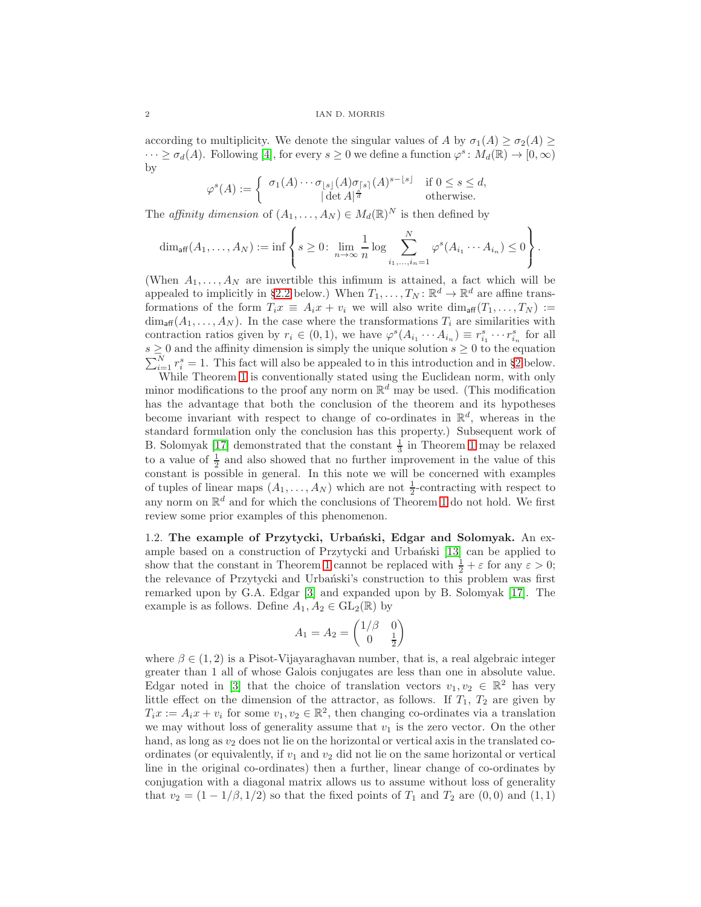### 2 IAN D. MORRIS

according to multiplicity. We denote the singular values of A by  $\sigma_1(A) \geq \sigma_2(A) \geq$  $\cdots \ge \sigma_d(A)$ . Following [\[4\]](#page-10-5), for every  $s \ge 0$  we define a function  $\varphi^s \colon M_d(\mathbb{R}) \to [0, \infty)$ by

$$
\varphi^s(A) := \begin{cases} \sigma_1(A) \cdots \sigma_{\lfloor s \rfloor}(A) \sigma_{\lceil s \rceil}(A)^{s - \lfloor s \rfloor} & \text{if } 0 \le s \le d, \\ |\det A|^{\frac{s}{d}} & \text{otherwise.} \end{cases}
$$

The *affinity dimension* of  $(A_1, \ldots, A_N) \in M_d(\mathbb{R})^N$  is then defined by

$$
\dim_{\text{aff}}(A_1,\ldots,A_N):=\inf\left\{s\geq 0\colon \lim_{n\to\infty}\frac{1}{n}\log\sum_{i_1,\ldots,i_n=1}^N\varphi^s(A_{i_1}\cdots A_{i_n})\leq 0\right\}.
$$

(When  $A_1, \ldots, A_N$  are invertible this infimum is attained, a fact which will be appealed to implicitly in §[2.2](#page-6-0) below.) When  $T_1, \ldots, T_N : \mathbb{R}^d \to \mathbb{R}^d$  are affine transformations of the form  $T_ix \equiv A_ix + v_i$  we will also write  $\dim_{\text{aff}} (T_1, \ldots, T_N) :=$  $\dim_{\text{aff}}(A_1,\ldots,A_N)$ . In the case where the transformations  $T_i$  are similarities with contraction ratios given by  $r_i \in (0,1)$ , we have  $\varphi^s(A_{i_1} \cdots A_{i_n}) \equiv r_{i_1}^s \cdots r_{i_n}^s$  for all  $\sum_{i=1}^{N} r_i^s = 1$ . This fact will also be appealed to in this introduction and in §[2](#page-5-0) below.  $s \geq 0$  and the affinity dimension is simply the unique solution  $s \geq 0$  to the equation

While Theorem [1](#page-0-0) is conventionally stated using the Euclidean norm, with only minor modifications to the proof any norm on  $\mathbb{R}^d$  may be used. (This modification has the advantage that both the conclusion of the theorem and its hypotheses become invariant with respect to change of co-ordinates in  $\mathbb{R}^d$ , whereas in the standard formulation only the conclusion has this property.) Subsequent work of B. Solomyak [\[17\]](#page-11-0) demonstrated that the constant  $\frac{1}{3}$  in Theorem [1](#page-0-0) may be relaxed to a value of  $\frac{1}{2}$  and also showed that no further improvement in the value of this constant is possible in general. In this note we will be concerned with examples of tuples of linear maps  $(A_1, \ldots, A_N)$  which are not  $\frac{1}{2}$ -contracting with respect to any norm on  $\mathbb{R}^d$  and for which the conclusions of Theorem [1](#page-0-0) do not hold. We first review some prior examples of this phenomenon.

1.2. The example of Przytycki, Urbański, Edgar and Solomyak. An ex-ample based on a construction of Przytycki and Urbański [\[13\]](#page-11-1) can be applied to show that the constant in Theorem [1](#page-0-0) cannot be replaced with  $\frac{1}{2} + \varepsilon$  for any  $\varepsilon > 0$ ; the relevance of Przytycki and Urbański's construction to this problem was first remarked upon by G.A. Edgar [\[3\]](#page-10-6) and expanded upon by B. Solomyak [\[17\]](#page-11-0). The example is as follows. Define  $A_1, A_2 \in GL_2(\mathbb{R})$  by

$$
A_1 = A_2 = \begin{pmatrix} 1/\beta & 0\\ 0 & \frac{1}{2} \end{pmatrix}
$$

where  $\beta \in (1, 2)$  is a Pisot-Vijayaraghavan number, that is, a real algebraic integer greater than 1 all of whose Galois conjugates are less than one in absolute value. Edgar noted in [\[3\]](#page-10-6) that the choice of translation vectors  $v_1, v_2 \in \mathbb{R}^2$  has very little effect on the dimension of the attractor, as follows. If  $T_1$ ,  $T_2$  are given by  $T_i x := A_i x + v_i$  for some  $v_1, v_2 \in \mathbb{R}^2$ , then changing co-ordinates via a translation we may without loss of generality assume that  $v_1$  is the zero vector. On the other hand, as long as  $v_2$  does not lie on the horizontal or vertical axis in the translated coordinates (or equivalently, if  $v_1$  and  $v_2$  did not lie on the same horizontal or vertical line in the original co-ordinates) then a further, linear change of co-ordinates by conjugation with a diagonal matrix allows us to assume without loss of generality that  $v_2 = (1 - 1/\beta, 1/2)$  so that the fixed points of  $T_1$  and  $T_2$  are  $(0, 0)$  and  $(1, 1)$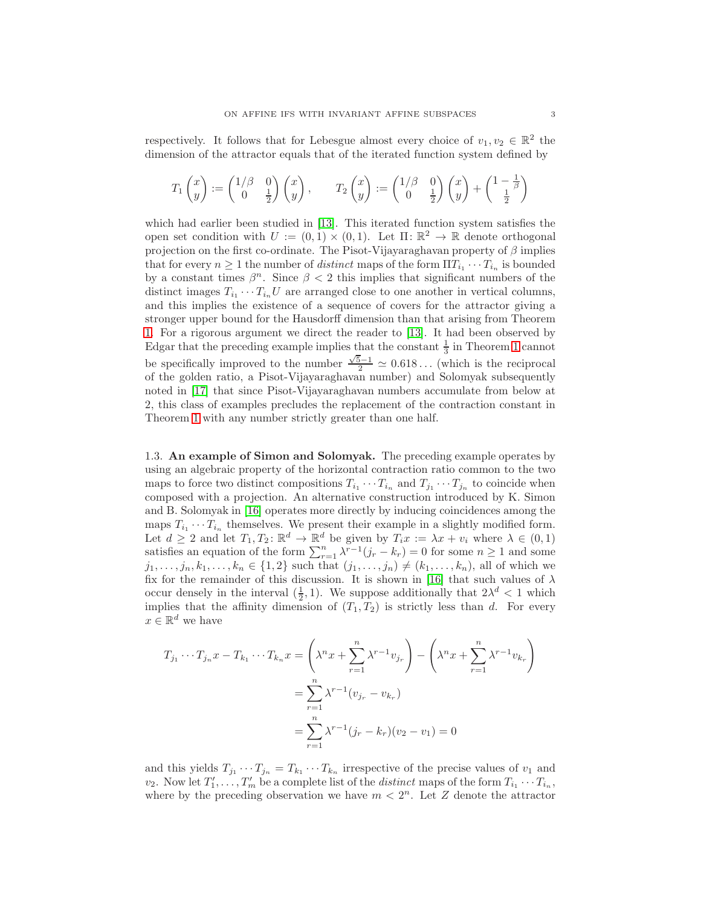respectively. It follows that for Lebesgue almost every choice of  $v_1, v_2 \in \mathbb{R}^2$  the dimension of the attractor equals that of the iterated function system defined by

$$
T_1\begin{pmatrix}x \\ y\end{pmatrix} := \begin{pmatrix}1/\beta & 0 \\ 0 & \frac{1}{2}\end{pmatrix}\begin{pmatrix}x \\ y\end{pmatrix}, \qquad T_2\begin{pmatrix}x \\ y\end{pmatrix} := \begin{pmatrix}1/\beta & 0 \\ 0 & \frac{1}{2}\end{pmatrix}\begin{pmatrix}x \\ y\end{pmatrix} + \begin{pmatrix}1-\frac{1}{\beta} \\ \frac{1}{2}\end{pmatrix}
$$

which had earlier been studied in [\[13\]](#page-11-1). This iterated function system satisfies the open set condition with  $U := (0,1) \times (0,1)$ . Let  $\Pi: \mathbb{R}^2 \to \mathbb{R}$  denote orthogonal projection on the first co-ordinate. The Pisot-Vijayaraghavan property of  $\beta$  implies that for every  $n \geq 1$  the number of *distinct* maps of the form  $\Pi T_{i_1} \cdots T_{i_n}$  is bounded by a constant times  $\beta^n$ . Since  $\beta < 2$  this implies that significant numbers of the distinct images  $T_{i_1} \cdots T_{i_n} U$  are arranged close to one another in vertical columns, and this implies the existence of a sequence of covers for the attractor giving a stronger upper bound for the Hausdorff dimension than that arising from Theorem [1.](#page-0-0) For a rigorous argument we direct the reader to [\[13\]](#page-11-1). It had been observed by Edgar that the preceding example implies that the constant  $\frac{1}{3}$  in Theorem [1](#page-0-0) cannot be specifically improved to the number  $\frac{\sqrt{5}-1}{2} \simeq 0.618...$  (which is the reciprocal of the golden ratio, a Pisot-Vijayaraghavan number) and Solomyak subsequently noted in [\[17\]](#page-11-0) that since Pisot-Vijayaraghavan numbers accumulate from below at 2, this class of examples precludes the replacement of the contraction constant in Theorem [1](#page-0-0) with any number strictly greater than one half.

<span id="page-2-0"></span>1.3. An example of Simon and Solomyak. The preceding example operates by using an algebraic property of the horizontal contraction ratio common to the two maps to force two distinct compositions  $T_{i_1} \cdots T_{i_n}$  and  $T_{j_1} \cdots T_{j_n}$  to coincide when composed with a projection. An alternative construction introduced by K. Simon and B. Solomyak in [\[16\]](#page-11-2) operates more directly by inducing coincidences among the maps  $T_{i_1} \cdots T_{i_n}$  themselves. We present their example in a slightly modified form. Let  $d \geq 2$  and let  $T_1, T_2 \colon \mathbb{R}^d \to \mathbb{R}^d$  be given by  $T_i x := \lambda x + v_i$  where  $\lambda \in (0, 1)$ satisfies an equation of the form  $\sum_{r=1}^{n} \lambda^{r-1} (j_r - k_r) = 0$  for some  $n \ge 1$  and some  $j_1, \ldots, j_n, k_1, \ldots, k_n \in \{1, 2\}$  such that  $(j_1, \ldots, j_n) \neq (k_1, \ldots, k_n)$ , all of which we fix for the remainder of this discussion. It is shown in [\[16\]](#page-11-2) that such values of  $\lambda$ occur densely in the interval  $(\frac{1}{2}, 1)$ . We suppose additionally that  $2\lambda^d < 1$  which implies that the affinity dimension of  $(T_1, T_2)$  is strictly less than d. For every  $x \in \mathbb{R}^d$  we have

$$
T_{j_1} \cdots T_{j_n} x - T_{k_1} \cdots T_{k_n} x = \left(\lambda^n x + \sum_{r=1}^n \lambda^{r-1} v_{j_r}\right) - \left(\lambda^n x + \sum_{r=1}^n \lambda^{r-1} v_{k_r}\right)
$$
  
= 
$$
\sum_{r=1}^n \lambda^{r-1} (v_{j_r} - v_{k_r})
$$
  
= 
$$
\sum_{r=1}^n \lambda^{r-1} (j_r - k_r) (v_2 - v_1) = 0
$$

and this yields  $T_{j_1} \cdots T_{j_n} = T_{k_1} \cdots T_{k_n}$  irrespective of the precise values of  $v_1$  and  $v_2$ . Now let  $T'_1, \ldots, T'_m$  be a complete list of the *distinct* maps of the form  $T_{i_1} \cdots T_{i_n}$ , where by the preceding observation we have  $m < 2<sup>n</sup>$ . Let Z denote the attractor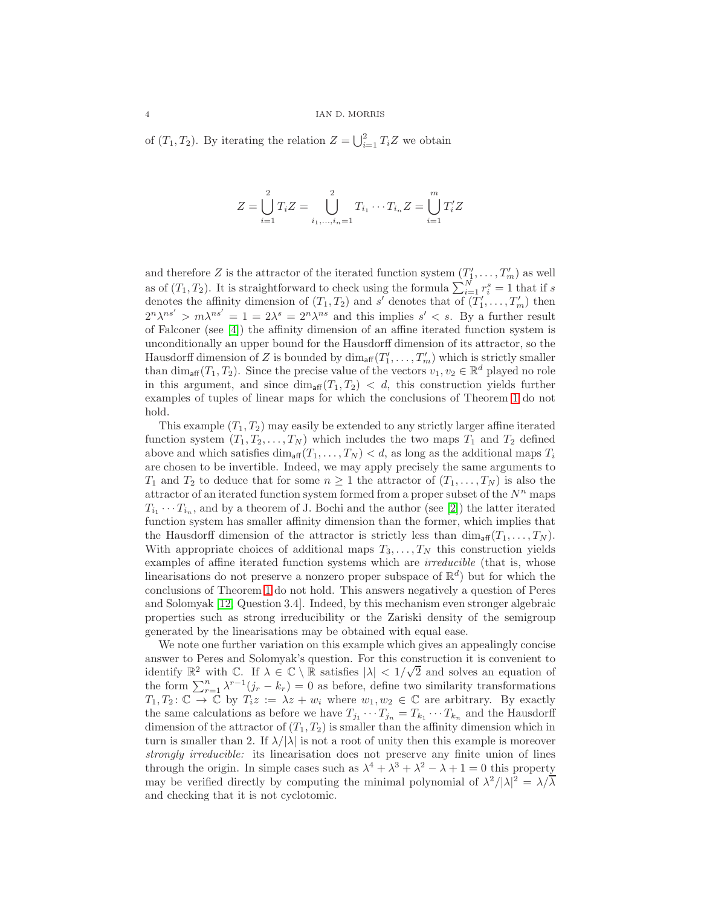of  $(T_1, T_2)$ . By iterating the relation  $Z = \bigcup_{i=1}^2 T_i Z$  we obtain

$$
Z = \bigcup_{i=1}^{2} T_i Z = \bigcup_{i_1, ..., i_n = 1}^{2} T_{i_1} \cdots T_{i_n} Z = \bigcup_{i=1}^{m} T'_i Z
$$

and therefore Z is the attractor of the iterated function system  $(T'_1, \ldots, T'_m)$  as well as of  $(T_1, T_2)$ . It is straightforward to check using the formula  $\sum_{i=1}^{N} r_i^s = 1$  that if s denotes the affinity dimension of  $(T_1, T_2)$  and s' denotes that of  $(T'_1, \ldots, T'_m)$  then  $2^{n}\lambda^{ns'} > m\lambda^{ns'} = 1 = 2\lambda^{s} = 2^{n}\lambda^{ns}$  and this implies  $s' < s$ . By a further result of Falconer (see [\[4\]](#page-10-5)) the affinity dimension of an affine iterated function system is unconditionally an upper bound for the Hausdorff dimension of its attractor, so the Hausdorff dimension of Z is bounded by  $\dim_{\text{aff}}(T'_1,\ldots,T'_m)$  which is strictly smaller than  $\dim_{\text{aff}}(T_1, T_2)$ . Since the precise value of the vectors  $v_1, v_2 \in \mathbb{R}^d$  played no role in this argument, and since  $\dim_{\text{aff}}(T_1, T_2) < d$ , this construction yields further examples of tuples of linear maps for which the conclusions of Theorem [1](#page-0-0) do not hold.

This example  $(T_1, T_2)$  may easily be extended to any strictly larger affine iterated function system  $(T_1, T_2, \ldots, T_N)$  which includes the two maps  $T_1$  and  $T_2$  defined above and which satisfies  $\dim_{\text{aff}}(T_1, \ldots, T_N) < d$ , as long as the additional maps  $T_i$ are chosen to be invertible. Indeed, we may apply precisely the same arguments to  $T_1$  and  $T_2$  to deduce that for some  $n \geq 1$  the attractor of  $(T_1, \ldots, T_N)$  is also the attractor of an iterated function system formed from a proper subset of the  $N^n$  maps  $T_{i_1} \cdots T_{i_n}$ , and by a theorem of J. Bochi and the author (see [\[2\]](#page-10-7)) the latter iterated function system has smaller affinity dimension than the former, which implies that the Hausdorff dimension of the attractor is strictly less than  $\dim_{\text{aff}}(T_1, \ldots, T_N)$ . With appropriate choices of additional maps  $T_3, \ldots, T_N$  this construction yields examples of affine iterated function systems which are *irreducible* (that is, whose linearisations do not preserve a nonzero proper subspace of  $\mathbb{R}^d$ ) but for which the conclusions of Theorem [1](#page-0-0) do not hold. This answers negatively a question of Peres and Solomyak [\[12,](#page-10-8) Question 3.4]. Indeed, by this mechanism even stronger algebraic properties such as strong irreducibility or the Zariski density of the semigroup generated by the linearisations may be obtained with equal ease.

We note one further variation on this example which gives an appealingly concise answer to Peres and Solomyak's question. For this construction it is convenient to identify  $\mathbb{R}^2$  with C. If  $\lambda \in \mathbb{C} \setminus \mathbb{R}$  satisfies  $|\lambda| < 1/\sqrt{2}$  and solves an equation of the form  $\sum_{r=1}^{n} \lambda^{r-1} (j_r - k_r) = 0$  as before, define two similarity transformations  $T_1, T_2: \mathbb{C} \to \mathbb{C}$  by  $T_i z := \lambda z + w_i$  where  $w_1, w_2 \in \mathbb{C}$  are arbitrary. By exactly the same calculations as before we have  $T_{j_1} \cdots T_{j_n} = T_{k_1} \cdots T_{k_n}$  and the Hausdorff dimension of the attractor of  $(T_1, T_2)$  is smaller than the affinity dimension which in turn is smaller than 2. If  $\lambda/|\lambda|$  is not a root of unity then this example is moreover strongly irreducible: its linearisation does not preserve any finite union of lines through the origin. In simple cases such as  $\lambda^4 + \lambda^3 + \lambda^2 - \lambda + 1 = 0$  this property may be verified directly by computing the minimal polynomial of  $\lambda^2/|\lambda|^2 = \lambda/\overline{\lambda}$ and checking that it is not cyclotomic.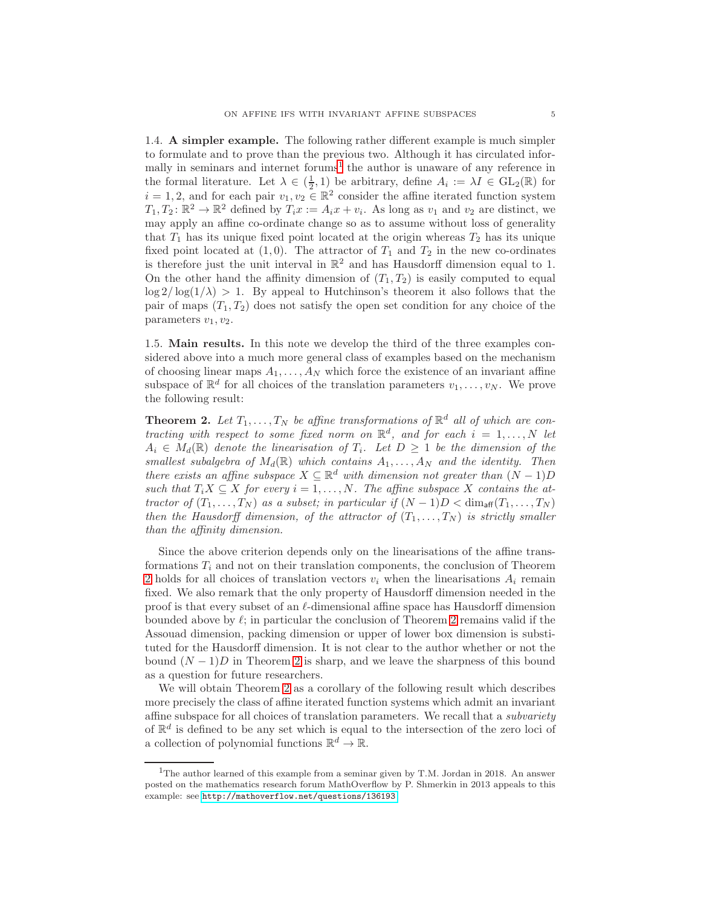<span id="page-4-2"></span>1.4. A simpler example. The following rather different example is much simpler to formulate and to prove than the previous two. Although it has circulated infor-mally in seminars and internet forums<sup>[1](#page-4-0)</sup> the author is unaware of any reference in the formal literature. Let  $\lambda \in (\frac{1}{2}, 1)$  be arbitrary, define  $A_i := \lambda I \in GL_2(\mathbb{R})$  for  $i = 1, 2$ , and for each pair  $v_1, v_2 \in \mathbb{R}^2$  consider the affine iterated function system  $T_1, T_2 \colon \mathbb{R}^2 \to \mathbb{R}^2$  defined by  $T_i x := A_i x + v_i$ . As long as  $v_1$  and  $v_2$  are distinct, we may apply an affine co-ordinate change so as to assume without loss of generality that  $T_1$  has its unique fixed point located at the origin whereas  $T_2$  has its unique fixed point located at  $(1, 0)$ . The attractor of  $T_1$  and  $T_2$  in the new co-ordinates is therefore just the unit interval in  $\mathbb{R}^2$  and has Hausdorff dimension equal to 1. On the other hand the affinity dimension of  $(T_1, T_2)$  is easily computed to equal  $\log 2/\log(1/\lambda) > 1$ . By appeal to Hutchinson's theorem it also follows that the pair of maps  $(T_1, T_2)$  does not satisfy the open set condition for any choice of the parameters  $v_1, v_2$ .

1.5. Main results. In this note we develop the third of the three examples considered above into a much more general class of examples based on the mechanism of choosing linear maps  $A_1, \ldots, A_N$  which force the existence of an invariant affine subspace of  $\mathbb{R}^d$  for all choices of the translation parameters  $v_1, \ldots, v_N$ . We prove the following result:

<span id="page-4-1"></span>**Theorem 2.** Let  $T_1, \ldots, T_N$  be affine transformations of  $\mathbb{R}^d$  all of which are contracting with respect to some fixed norm on  $\mathbb{R}^d$ , and for each  $i = 1, ..., N$  let  $A_i \in M_d(\mathbb{R})$  denote the linearisation of  $T_i$ . Let  $D \geq 1$  be the dimension of the smallest subalgebra of  $M_d(\mathbb{R})$  which contains  $A_1, \ldots, A_N$  and the identity. Then there exists an affine subspace  $X \subseteq \mathbb{R}^d$  with dimension not greater than  $(N-1)D$ such that  $T_iX \subseteq X$  for every  $i = 1, ..., N$ . The affine subspace X contains the attractor of  $(T_1, \ldots, T_N)$  as a subset; in particular if  $(N-1)D < \dim_{\text{aff}}(T_1, \ldots, T_N)$ then the Hausdorff dimension, of the attractor of  $(T_1, \ldots, T_N)$  is strictly smaller than the affinity dimension.

Since the above criterion depends only on the linearisations of the affine transformations  $T_i$  and not on their translation components, the conclusion of Theorem [2](#page-4-1) holds for all choices of translation vectors  $v_i$  when the linearisations  $A_i$  remain fixed. We also remark that the only property of Hausdorff dimension needed in the proof is that every subset of an  $\ell$ -dimensional affine space has Hausdorff dimension bounded above by  $\ell$ ; in particular the conclusion of Theorem [2](#page-4-1) remains valid if the Assouad dimension, packing dimension or upper of lower box dimension is substituted for the Hausdorff dimension. It is not clear to the author whether or not the bound  $(N-1)D$  in Theorem [2](#page-4-1) is sharp, and we leave the sharpness of this bound as a question for future researchers.

We will obtain Theorem [2](#page-4-1) as a corollary of the following result which describes more precisely the class of affine iterated function systems which admit an invariant affine subspace for all choices of translation parameters. We recall that a subvariety of  $\mathbb{R}^d$  is defined to be any set which is equal to the intersection of the zero loci of a collection of polynomial functions  $\mathbb{R}^d \to \mathbb{R}$ .

<span id="page-4-0"></span><sup>&</sup>lt;sup>1</sup>The author learned of this example from a seminar given by T.M. Jordan in 2018. An answer posted on the mathematics research forum MathOverflow by P. Shmerkin in 2013 appeals to this example: see <http://mathoverflow.net/questions/136193>.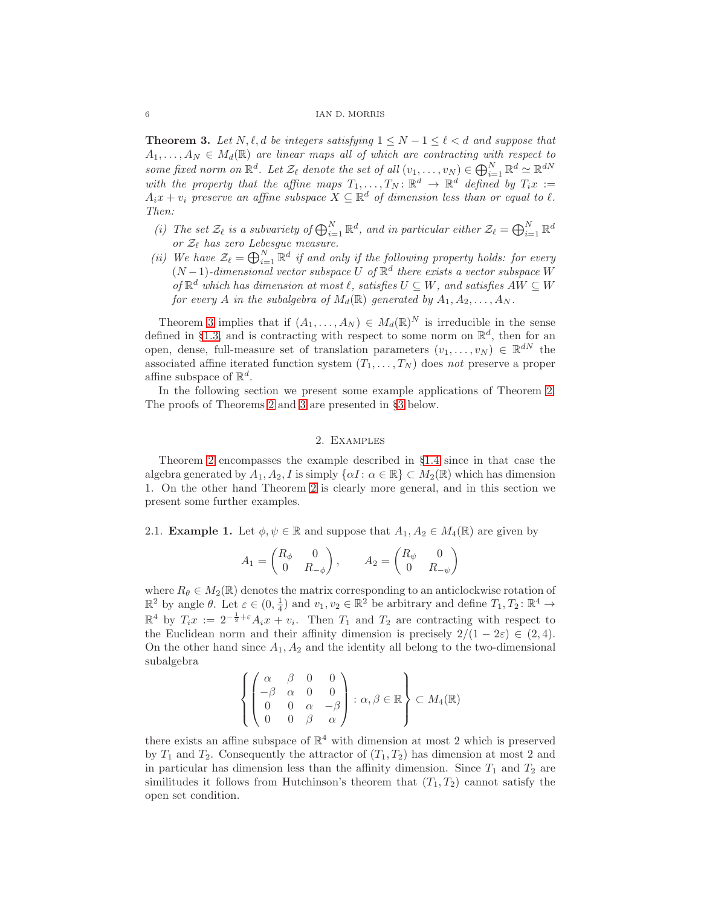### 6 IAN D. MORRIS

<span id="page-5-1"></span>**Theorem 3.** Let  $N, \ell, d$  be integers satisfying  $1 \leq N - 1 \leq \ell < d$  and suppose that  $A_1, \ldots, A_N \in M_d(\mathbb{R})$  are linear maps all of which are contracting with respect to some fixed norm on  $\mathbb{R}^d$ . Let  $\mathcal{Z}_{\ell}$  denote the set of all  $(v_1, \ldots, v_N) \in \bigoplus_{i=1}^N \mathbb{R}^d \simeq \mathbb{R}^{dN}$ with the property that the affine maps  $T_1, \ldots, T_N : \mathbb{R}^d \to \mathbb{R}^d$  defined by  $T_i x :=$  $A_ix + v_i$  preserve an affine subspace  $X \subseteq \mathbb{R}^d$  of dimension less than or equal to  $\ell$ . Then:

- (i) The set  $\mathcal{Z}_{\ell}$  is a subvariety of  $\bigoplus_{i=1}^{N} \mathbb{R}^{d}$ , and in particular either  $\mathcal{Z}_{\ell} = \bigoplus_{i=1}^{N} \mathbb{R}^{d}$ or  $\mathcal{Z}_{\ell}$  has zero Lebesgue measure.
- (ii) We have  $\mathcal{Z}_{\ell} = \bigoplus_{i=1}^{N} \mathbb{R}^d$  if and only if the following property holds: for every  $(N-1)$ -dimensional vector subspace U of  $\mathbb{R}^d$  there exists a vector subspace W of  $\mathbb{R}^d$  which has dimension at most  $\ell$ , satisfies  $U \subseteq W$ , and satisfies  $AW \subseteq W$ for every A in the subalgebra of  $M_d(\mathbb{R})$  generated by  $A_1, A_2, \ldots, A_N$ .

Theorem [3](#page-5-1) implies that if  $(A_1, \ldots, A_N) \in M_d(\mathbb{R})^N$  is irreducible in the sense defined in §[1.3,](#page-2-0) and is contracting with respect to some norm on  $\mathbb{R}^d$ , then for an open, dense, full-measure set of translation parameters  $(v_1, \ldots, v_N) \in \mathbb{R}^{dN}$  the associated affine iterated function system  $(T_1, \ldots, T_N)$  does not preserve a proper affine subspace of  $\mathbb{R}^d$ .

In the following section we present some example applications of Theorem [2.](#page-4-1) The proofs of Theorems [2](#page-4-1) and [3](#page-5-1) are presented in §[3](#page-7-0) below.

# 2. Examples

<span id="page-5-0"></span>Theorem [2](#page-4-1) encompasses the example described in §[1.4](#page-4-2) since in that case the algebra generated by  $A_1, A_2, I$  is simply  $\{\alpha I : \alpha \in \mathbb{R}\}\subset M_2(\mathbb{R})$  which has dimension 1. On the other hand Theorem [2](#page-4-1) is clearly more general, and in this section we present some further examples.

2.1. **Example 1.** Let  $\phi, \psi \in \mathbb{R}$  and suppose that  $A_1, A_2 \in M_4(\mathbb{R})$  are given by

$$
A_1 = \begin{pmatrix} R_{\phi} & 0 \\ 0 & R_{-\phi} \end{pmatrix}, \qquad A_2 = \begin{pmatrix} R_{\psi} & 0 \\ 0 & R_{-\psi} \end{pmatrix}
$$

where  $R_{\theta} \in M_2(\mathbb{R})$  denotes the matrix corresponding to an anticlockwise rotation of  $\mathbb{R}^2$  by angle  $\theta$ . Let  $\varepsilon \in (0, \frac{1}{4})$  and  $v_1, v_2 \in \mathbb{R}^2$  be arbitrary and define  $T_1, T_2: \mathbb{R}^4 \to$  $\mathbb{R}^4$  by  $T_i x := 2^{-\frac{1}{2}+\varepsilon} A_i x + v_i$ . Then  $T_1$  and  $T_2$  are contracting with respect to the Euclidean norm and their affinity dimension is precisely  $2/(1 - 2\varepsilon) \in (2, 4)$ . On the other hand since  $A_1, A_2$  and the identity all belong to the two-dimensional subalgebra

$$
\left\{ \begin{pmatrix} \alpha & \beta & 0 & 0 \\ -\beta & \alpha & 0 & 0 \\ 0 & 0 & \alpha & -\beta \\ 0 & 0 & \beta & \alpha \end{pmatrix} : \alpha, \beta \in \mathbb{R} \right\} \subset M_4(\mathbb{R})
$$

there exists an affine subspace of  $\mathbb{R}^4$  with dimension at most 2 which is preserved by  $T_1$  and  $T_2$ . Consequently the attractor of  $(T_1, T_2)$  has dimension at most 2 and in particular has dimension less than the affinity dimension. Since  $T_1$  and  $T_2$  are similitudes it follows from Hutchinson's theorem that  $(T_1, T_2)$  cannot satisfy the open set condition.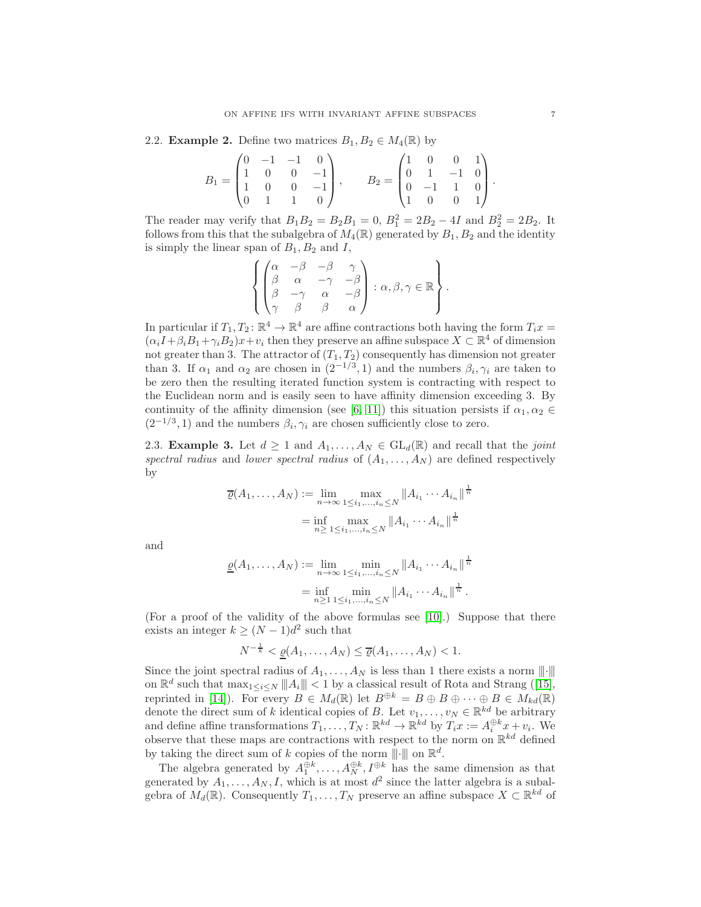<span id="page-6-0"></span>2.2. **Example 2.** Define two matrices  $B_1, B_2 \in M_4(\mathbb{R})$  by

$$
B_1 = \begin{pmatrix} 0 & -1 & -1 & 0 \\ 1 & 0 & 0 & -1 \\ 1 & 0 & 0 & -1 \\ 0 & 1 & 1 & 0 \end{pmatrix}, \qquad B_2 = \begin{pmatrix} 1 & 0 & 0 & 1 \\ 0 & 1 & -1 & 0 \\ 0 & -1 & 1 & 0 \\ 1 & 0 & 0 & 1 \end{pmatrix}.
$$

The reader may verify that  $B_1 B_2 = B_2 B_1 = 0$ ,  $B_1^2 = 2B_2 - 4I$  and  $B_2^2 = 2B_2$ . It follows from this that the subalgebra of  $M_4(\mathbb{R})$  generated by  $B_1, B_2$  and the identity is simply the linear span of  $B_1, B_2$  and I,

$$
\left\{ \begin{pmatrix} \alpha & -\beta & -\beta & \gamma \\ \beta & \alpha & -\gamma & -\beta \\ \beta & -\gamma & \alpha & -\beta \\ \gamma & \beta & \beta & \alpha \end{pmatrix} : \alpha, \beta, \gamma \in \mathbb{R} \right\}.
$$

In particular if  $T_1, T_2 \colon \mathbb{R}^4 \to \mathbb{R}^4$  are affine contractions both having the form  $T_i x =$  $(\alpha_i I + \beta_i B_1 + \gamma_i B_2)x + v_i$  then they preserve an affine subspace  $X \subset \mathbb{R}^4$  of dimension not greater than 3. The attractor of  $(T_1, T_2)$  consequently has dimension not greater than 3. If  $\alpha_1$  and  $\alpha_2$  are chosen in  $(2^{-1/3}, 1)$  and the numbers  $\beta_i, \gamma_i$  are taken to be zero then the resulting iterated function system is contracting with respect to the Euclidean norm and is easily seen to have affinity dimension exceeding 3. By continuity of the affinity dimension (see [\[6,](#page-10-9) [11\]](#page-10-10)) this situation persists if  $\alpha_1, \alpha_2 \in$  $(2^{-1/3}, 1)$  and the numbers  $\beta_i, \gamma_i$  are chosen sufficiently close to zero.

2.3. **Example 3.** Let  $d \geq 1$  and  $A_1, \ldots, A_N \in GL_d(\mathbb{R})$  and recall that the *joint* spectral radius and lower spectral radius of  $(A_1, \ldots, A_N)$  are defined respectively by

$$
\overline{\varrho}(A_1, ..., A_N) := \lim_{n \to \infty} \max_{1 \le i_1, ..., i_n \le N} \|A_{i_1} \cdots A_{i_n}\|^{\frac{1}{n}} \n= \inf_{n \ge 1 \le i_1, ..., i_n \le N} \|A_{i_1} \cdots A_{i_n}\|^{\frac{1}{n}}
$$

and

$$
\underline{\varrho}(A_1, ..., A_N) := \lim_{n \to \infty} \min_{1 \le i_1, ..., i_n \le N} \|A_{i_1} \cdots A_{i_n}\|^{\frac{1}{n}} \n= \inf_{n \ge 1} \min_{1 \le i_1, ..., i_n \le N} \|A_{i_1} \cdots A_{i_n}\|^{\frac{1}{n}}.
$$

(For a proof of the validity of the above formulas see [\[10\]](#page-10-11).) Suppose that there exists an integer  $k \geq (N-1)d^2$  such that

$$
N^{-\frac{1}{k}} < \underline{\varrho}(A_1, \dots, A_N) \le \overline{\varrho}(A_1, \dots, A_N) < 1.
$$

Since the joint spectral radius of  $A_1, \ldots, A_N$  is less than 1 there exists a norm  $\|\cdot\|$ on  $\mathbb{R}^d$  such that  $\max_{1 \leq i \leq N} ||A_i|| < 1$  by a classical result of Rota and Strang ([\[15\]](#page-11-3), reprinted in [\[14\]](#page-11-4)). For every  $B \in M_d(\mathbb{R})$  let  $B^{\oplus k} = B \oplus B \oplus \cdots \oplus B \in M_{kd}(\mathbb{R})$ denote the direct sum of k identical copies of B. Let  $v_1, \ldots, v_N \in \mathbb{R}^{kd}$  be arbitrary and define affine transformations  $T_1, \ldots, T_N : \mathbb{R}^{kd} \to \mathbb{R}^{kd}$  by  $T_i x := A_i^{\oplus k} x + v_i$ . We observe that these maps are contractions with respect to the norm on  $\mathbb{R}^{kd}$  defined by taking the direct sum of k copies of the norm  $\|\cdot\|$  on  $\mathbb{R}^d$ .

The algebra generated by  $A_1^{\oplus k}, \ldots, A_N^{\oplus k}, I^{\oplus k}$  has the same dimension as that generated by  $A_1, \ldots, A_N, I$ , which is at most  $d^2$  since the latter algebra is a subalgebra of  $M_d(\mathbb{R})$ . Consequently  $T_1, \ldots, T_N$  preserve an affine subspace  $X \subset \mathbb{R}^{kd}$  of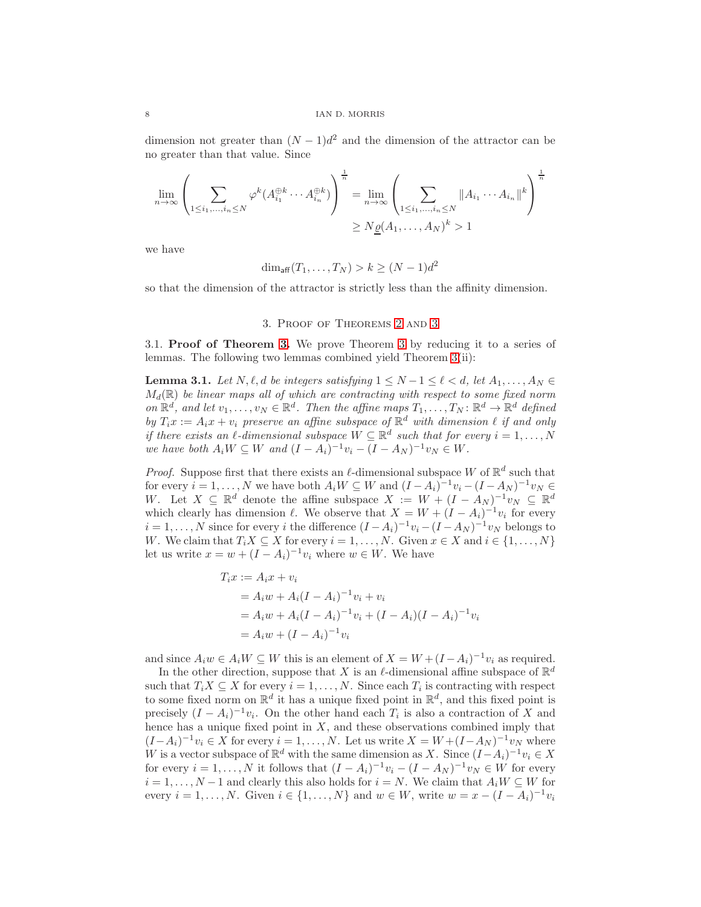dimension not greater than  $(N-1)d^2$  and the dimension of the attractor can be no greater than that value. Since

$$
\lim_{n \to \infty} \left( \sum_{1 \le i_1, \dots, i_n \le N} \varphi^k(A_{i_1}^{\oplus k} \cdots A_{i_n}^{\oplus k}) \right)^{\frac{1}{n}} = \lim_{n \to \infty} \left( \sum_{1 \le i_1, \dots, i_n \le N} \|A_{i_1} \cdots A_{i_n}\|^k \right)^{\frac{1}{n}}
$$

$$
\ge N \underline{\varrho}(A_1, \dots, A_N)^k > 1
$$

we have

$$
\dim_{\text{aff}}(T_1,\ldots,T_N) > k \geq (N-1)d^2
$$

<span id="page-7-0"></span>so that the dimension of the attractor is strictly less than the affinity dimension.

## 3. Proof of Theorems [2](#page-4-1) and [3](#page-5-1)

3.1. Proof of Theorem [3.](#page-5-1) We prove Theorem [3](#page-5-1) by reducing it to a series of lemmas. The following two lemmas combined yield Theorem [3\(](#page-5-1)ii):

<span id="page-7-1"></span>**Lemma 3.1.** Let  $N, \ell, d$  be integers satisfying  $1 \leq N-1 \leq \ell < d$ , let  $A_1, \ldots, A_N \in$  $M_d(\mathbb{R})$  be linear maps all of which are contracting with respect to some fixed norm on  $\mathbb{R}^d$ , and let  $v_1, \ldots, v_N \in \mathbb{R}^d$ . Then the affine maps  $T_1, \ldots, T_N : \mathbb{R}^d \to \mathbb{R}^d$  defined by  $T_i x := A_i x + v_i$  preserve an affine subspace of  $\mathbb{R}^d$  with dimension  $\ell$  if and only if there exists an  $\ell$ -dimensional subspace  $W \subseteq \mathbb{R}^d$  such that for every  $i = 1, ..., N$ we have both  $A_i W \subseteq W$  and  $(I - A_i)^{-1} v_i - (I - A_N)^{-1} v_N \in W$ .

*Proof.* Suppose first that there exists an  $\ell$ -dimensional subspace W of  $\mathbb{R}^d$  such that for every  $i = 1, ..., N$  we have both  $A_i W \subseteq W$  and  $(I - A_i)^{-1} v_i - (I - A_N)^{-1} v_N \in$ W. Let  $X \subseteq \mathbb{R}^d$  denote the affine subspace  $X := W + (I - A_N)^{-1}v_N \subseteq \mathbb{R}^d$ which clearly has dimension  $\ell$ . We observe that  $X = W + (I - A_i)^{-1}v_i$  for every  $i = 1, ..., N$  since for every i the difference  $(I - A_i)^{-1}v_i - (I - A_N)^{-1}v_N$  belongs to W. We claim that  $T_iX \subseteq X$  for every  $i = 1, \ldots, N$ . Given  $x \in X$  and  $i \in \{1, \ldots, N\}$ let us write  $x = w + (I - A_i)^{-1}v_i$  where  $w \in W$ . We have

$$
T_i x := A_i x + v_i
$$
  
=  $A_i w + A_i (I - A_i)^{-1} v_i + v_i$   
=  $A_i w + A_i (I - A_i)^{-1} v_i + (I - A_i)(I - A_i)^{-1} v_i$   
=  $A_i w + (I - A_i)^{-1} v_i$ 

and since  $A_i w \in A_i W \subseteq W$  this is an element of  $X = W + (I - A_i)^{-1} v_i$  as required.

In the other direction, suppose that X is an  $\ell$ -dimensional affine subspace of  $\mathbb{R}^d$ such that  $T_i X \subseteq X$  for every  $i = 1, ..., N$ . Since each  $T_i$  is contracting with respect to some fixed norm on  $\mathbb{R}^d$  it has a unique fixed point in  $\mathbb{R}^d$ , and this fixed point is precisely  $(I - A_i)^{-1}v_i$ . On the other hand each  $T_i$  is also a contraction of X and hence has a unique fixed point in  $X$ , and these observations combined imply that  $(I-A_i)^{-1}v_i \in X$  for every  $i=1,\ldots,N$ . Let us write  $X = W + (I-A_N)^{-1}v_N$  where W is a vector subspace of  $\mathbb{R}^d$  with the same dimension as X. Since  $(I-A_i)^{-1}v_i \in X$ for every  $i = 1, ..., N$  it follows that  $(I - A_i)^{-1}v_i - (I - A_N)^{-1}v_N \in W$  for every  $i = 1, \ldots, N-1$  and clearly this also holds for  $i = N$ . We claim that  $A_i W \subseteq W$  for every  $i = 1, ..., N$ . Given  $i \in \{1, ..., N\}$  and  $w \in W$ , write  $w = x - (I - A_i)^{-1}v_i$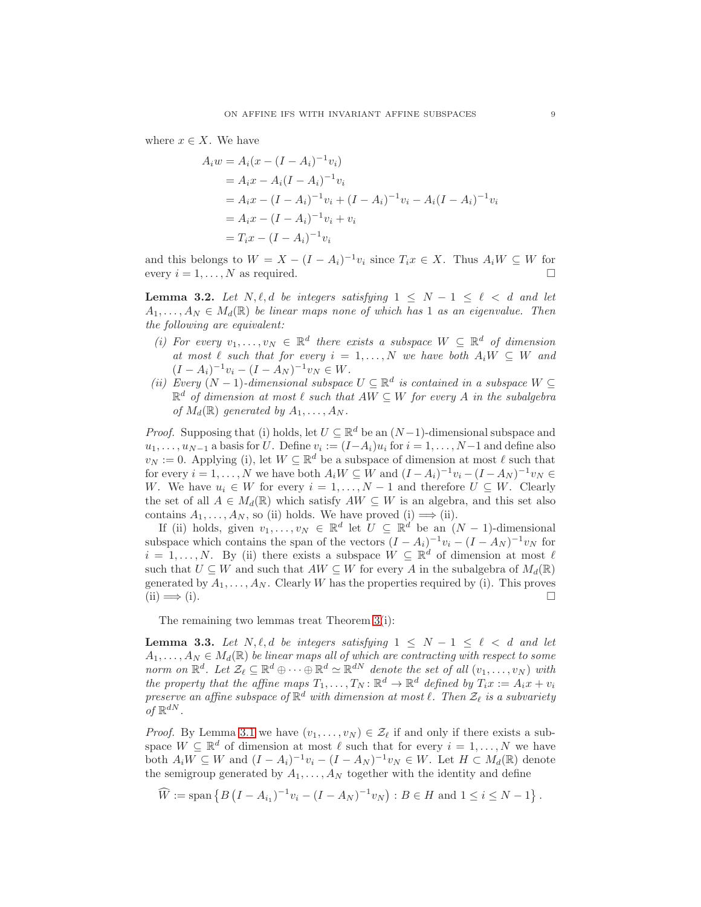where  $x \in X$ . We have

$$
A_i w = A_i (x - (I - A_i)^{-1} v_i)
$$
  
=  $A_i x - A_i (I - A_i)^{-1} v_i$   
=  $A_i x - (I - A_i)^{-1} v_i + (I - A_i)^{-1} v_i - A_i (I - A_i)^{-1} v_i$   
=  $A_i x - (I - A_i)^{-1} v_i + v_i$   
=  $T_i x - (I - A_i)^{-1} v_i$ 

and this belongs to  $W = X - (I - A_i)^{-1}v_i$  since  $T_i x \in X$ . Thus  $A_i W \subseteq W$  for every  $i = 1, \ldots, N$  as required.

**Lemma 3.2.** Let  $N, \ell, d$  be integers satisfying  $1 \leq N - 1 \leq \ell < d$  and let  $A_1, \ldots, A_N \in M_d(\mathbb{R})$  be linear maps none of which has 1 as an eigenvalue. Then the following are equivalent:

- (i) For every  $v_1, \ldots, v_N \in \mathbb{R}^d$  there exists a subspace  $W \subseteq \mathbb{R}^d$  of dimension at most  $\ell$  such that for every  $i = 1, ..., N$  we have both  $A_i W \subseteq W$  and  $(I - A_i)^{-1}v_i - (I - A_N)^{-1}v_N \in W.$
- (ii) Every  $(N-1)$ -dimensional subspace  $U \subseteq \mathbb{R}^d$  is contained in a subspace  $W \subseteq$  $\mathbb{R}^d$  of dimension at most  $\ell$  such that  $AW \subseteq W$  for every A in the subalgebra of  $M_d(\mathbb{R})$  generated by  $A_1, \ldots, A_N$ .

*Proof.* Supposing that (i) holds, let  $U \subseteq \mathbb{R}^d$  be an  $(N-1)$ -dimensional subspace and  $u_1, \ldots, u_{N-1}$  a basis for U. Define  $v_i := (I - A_i)u_i$  for  $i = 1, \ldots, N-1$  and define also  $v_N := 0$ . Applying (i), let  $W \subseteq \mathbb{R}^d$  be a subspace of dimension at most  $\ell$  such that for every  $i = 1, ..., N$  we have both  $A_i W \subseteq W$  and  $(I - A_i)^{-1} v_i - (I - A_N)^{-1} v_N \in$ W. We have  $u_i \in W$  for every  $i = 1, ..., N-1$  and therefore  $U \subseteq W$ . Clearly the set of all  $A \in M_d(\mathbb{R})$  which satisfy  $AW \subseteq W$  is an algebra, and this set also contains  $A_1, \ldots, A_N$ , so (ii) holds. We have proved (i)  $\Longrightarrow$  (ii).

If (ii) holds, given  $v_1, \ldots, v_N \in \mathbb{R}^d$  let  $U \subseteq \mathbb{R}^d$  be an  $(N-1)$ -dimensional subspace which contains the span of the vectors  $(I - A_i)^{-1}v_i - (I - A_N)^{-1}v_N$  for  $i = 1, \ldots, N$ . By (ii) there exists a subspace  $W \subseteq \mathbb{R}^d$  of dimension at most  $\ell$ such that  $U \subseteq W$  and such that  $AW \subseteq W$  for every A in the subalgebra of  $M_d(\mathbb{R})$ generated by  $A_1, \ldots, A_N$ . Clearly W has the properties required by (i). This proves  $(i) \implies (i).$ 

The remaining two lemmas treat Theorem [3\(](#page-5-1)i):

**Lemma 3.3.** Let  $N, \ell, d$  be integers satisfying  $1 \leq N - 1 \leq \ell < d$  and let  $A_1, \ldots, A_N \in M_d(\mathbb{R})$  be linear maps all of which are contracting with respect to some norm on  $\mathbb{R}^d$ . Let  $\mathcal{Z}_\ell \subseteq \mathbb{R}^d \oplus \cdots \oplus \mathbb{R}^d \simeq \mathbb{R}^{dN}$  denote the set of all  $(v_1, \ldots, v_N)$  with the property that the affine maps  $T_1, \ldots, T_N : \mathbb{R}^d \to \mathbb{R}^d$  defined by  $T_i x := A_i x + v_i$ preserve an affine subspace of  $\mathbb{R}^d$  with dimension at most  $\ell$ . Then  $\mathcal{Z}_{\ell}$  is a subvariety of  $\mathbb{R}^{dN}$ .

*Proof.* By Lemma [3.1](#page-7-1) we have  $(v_1, \ldots, v_N) \in \mathcal{Z}_{\ell}$  if and only if there exists a subspace  $W \subseteq \mathbb{R}^d$  of dimension at most  $\ell$  such that for every  $i = 1, ..., N$  we have both  $A_i W \subseteq W$  and  $(I - A_i)^{-1} v_i - (I - A_N)^{-1} v_N \in W$ . Let  $H \subset M_d(\mathbb{R})$  denote the semigroup generated by  $A_1, \ldots, A_N$  together with the identity and define

 $\widehat{W} := \text{span} \left\{ B \left( I - A_{i_1} \right)^{-1} v_i - (I - A_N)^{-1} v_N \right) : B \in H \text{ and } 1 \le i \le N - 1 \right\}.$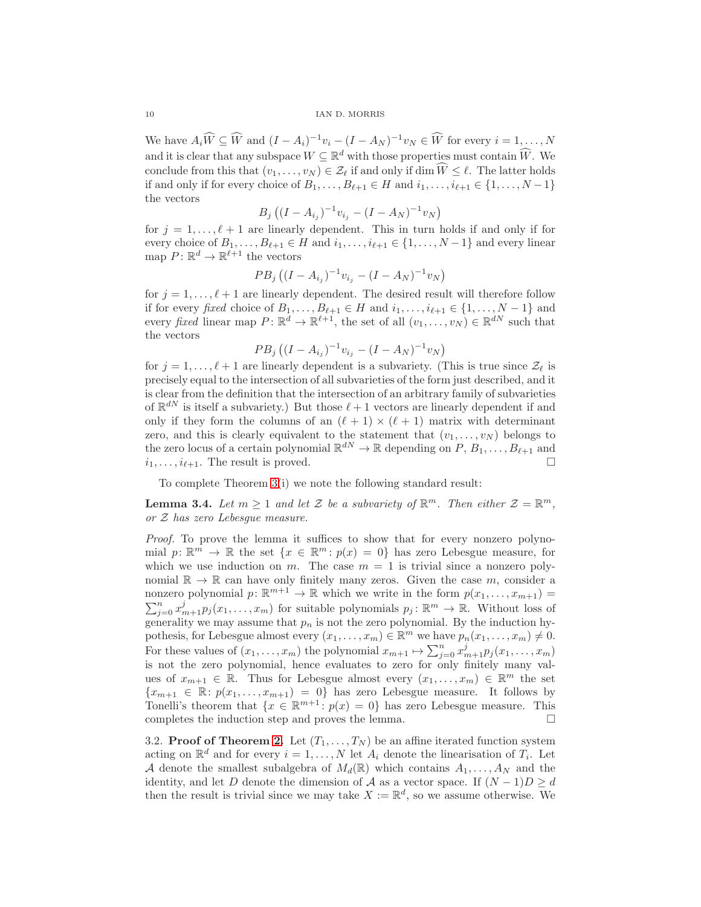We have  $A_i \widehat{W} \subseteq \widehat{W}$  and  $(I - A_i)^{-1}v_i - (I - A_N)^{-1}v_N \in \widehat{W}$  for every  $i = 1, ..., N$ and it is clear that any subspace  $W \subseteq \mathbb{R}^d$  with those properties must contain  $\widehat{W}$ . We conclude from this that  $(v_1, \ldots, v_N) \in \mathcal{Z}_{\ell}$  if and only if dim  $\widehat{W} \leq \ell$ . The latter holds if and only if for every choice of  $B_1, \ldots, B_{\ell+1} \in H$  and  $i_1, \ldots, i_{\ell+1} \in \{1, \ldots, N-1\}$ the vectors

$$
B_j ((I - A_{i_j})^{-1} v_{i_j} - (I - A_N)^{-1} v_N)
$$

for  $j = 1, \ldots, \ell + 1$  are linearly dependent. This in turn holds if and only if for every choice of  $B_1, \ldots, B_{\ell+1} \in H$  and  $i_1, \ldots, i_{\ell+1} \in \{1, \ldots, N-1\}$  and every linear map  $P: \mathbb{R}^d \to \mathbb{R}^{\ell+1}$  the vectors

$$
PB_j\left((I-A_{i_j})^{-1}v_{i_j}-(I-A_N)^{-1}v_N\right)
$$

for  $j = 1, \ldots, \ell + 1$  are linearly dependent. The desired result will therefore follow if for every fixed choice of  $B_1, \ldots, B_{\ell+1} \in H$  and  $i_1, \ldots, i_{\ell+1} \in \{1, \ldots, N-1\}$  and every fixed linear map  $P: \mathbb{R}^d \to \mathbb{R}^{\ell+1}$ , the set of all  $(v_1, \ldots, v_N) \in \mathbb{R}^{dN}$  such that the vectors

$$
PB_j\left((I-A_{i_j})^{-1}v_{i_j}-(I-A_N)^{-1}v_N\right)
$$

for  $j = 1, \ldots, \ell + 1$  are linearly dependent is a subvariety. (This is true since  $\mathcal{Z}_{\ell}$  is precisely equal to the intersection of all subvarieties of the form just described, and it is clear from the definition that the intersection of an arbitrary family of subvarieties of  $\mathbb{R}^{dN}$  is itself a subvariety.) But those  $\ell+1$  vectors are linearly dependent if and only if they form the columns of an  $(\ell + 1) \times (\ell + 1)$  matrix with determinant zero, and this is clearly equivalent to the statement that  $(v_1, \ldots, v_N)$  belongs to the zero locus of a certain polynomial  $\mathbb{R}^{dN} \to \mathbb{R}$  depending on  $P, B_1, \ldots, B_{\ell+1}$  and  $i_1, \ldots, i_{\ell+1}$ . The result is proved.

To complete Theorem [3\(](#page-5-1)i) we note the following standard result:

**Lemma 3.4.** Let  $m \geq 1$  and let  $\mathcal{Z}$  be a subvariety of  $\mathbb{R}^m$ . Then either  $\mathcal{Z} = \mathbb{R}^m$ , or Z has zero Lebesgue measure.

Proof. To prove the lemma it suffices to show that for every nonzero polynomial  $p: \mathbb{R}^m \to \mathbb{R}$  the set  $\{x \in \mathbb{R}^m : p(x) = 0\}$  has zero Lebesgue measure, for which we use induction on m. The case  $m = 1$  is trivial since a nonzero polynomial  $\mathbb{R} \to \mathbb{R}$  can have only finitely many zeros. Given the case m, consider a nonzero polynomial  $p: \mathbb{R}^{m+1} \to \mathbb{R}$  which we write in the form  $p(x_1, \ldots, x_{m+1}) =$  $\sum_{j=0}^{n} x_{m+1}^{j} p_j(x_1,\ldots,x_m)$  for suitable polynomials  $p_j : \mathbb{R}^m \to \mathbb{R}$ . Without loss of generality we may assume that  $p_n$  is not the zero polynomial. By the induction hypothesis, for Lebesgue almost every  $(x_1, \ldots, x_m) \in \mathbb{R}^m$  we have  $p_n(x_1, \ldots, x_m) \neq 0$ . For these values of  $(x_1, \ldots, x_m)$  the polynomial  $x_{m+1} \mapsto \sum_{j=0}^n x_{m+1}^j p_j(x_1, \ldots, x_m)$ is not the zero polynomial, hence evaluates to zero for only finitely many values of  $x_{m+1} \in \mathbb{R}$ . Thus for Lebesgue almost every  $(x_1, \ldots, x_m) \in \mathbb{R}^m$  the set  ${x_{m+1} \in \mathbb{R} : p(x_1, \ldots, x_{m+1}) = 0}$  has zero Lebesgue measure. It follows by Tonelli's theorem that  $\{x \in \mathbb{R}^{m+1} : p(x) = 0\}$  has zero Lebesgue measure. This completes the induction step and proves the lemma.  $\Box$ 

3.2. **Proof of Theorem [2.](#page-4-1)** Let  $(T_1, \ldots, T_N)$  be an affine iterated function system acting on  $\mathbb{R}^d$  and for every  $i = 1, ..., N$  let  $A_i$  denote the linearisation of  $T_i$ . Let A denote the smallest subalgebra of  $M_d(\mathbb{R})$  which contains  $A_1, \ldots, A_N$  and the identity, and let D denote the dimension of A as a vector space. If  $(N-1)D \geq d$ then the result is trivial since we may take  $X := \mathbb{R}^d$ , so we assume otherwise. We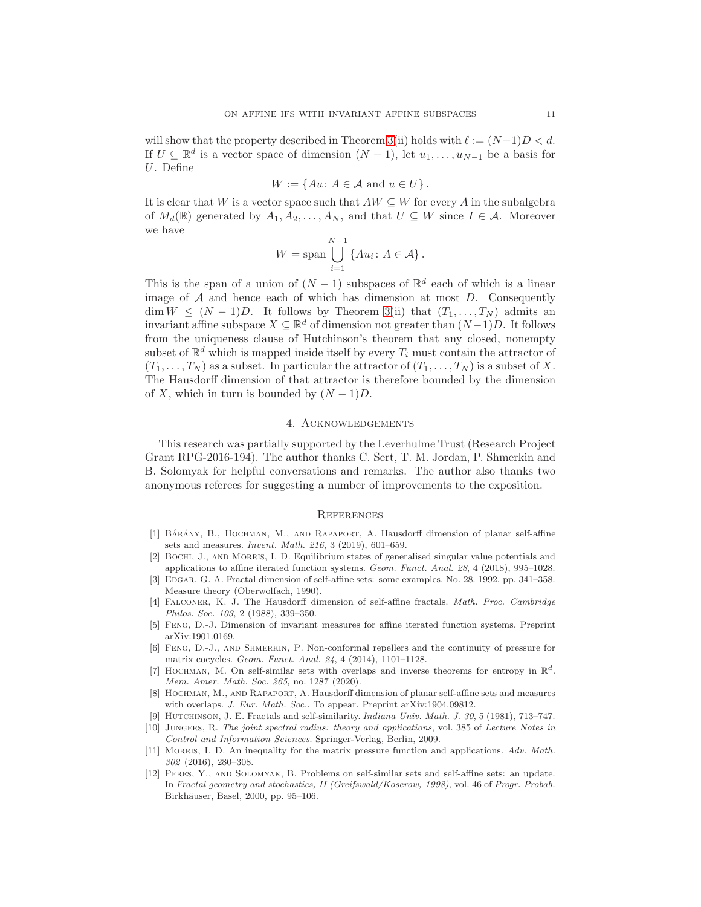will show that the property described in Theorem [3\(](#page-5-1)ii) holds with  $\ell := (N-1)D < d$ . If  $U \subseteq \mathbb{R}^d$  is a vector space of dimension  $(N-1)$ , let  $u_1, \ldots, u_{N-1}$  be a basis for U. Define

$$
W := \{ Au \colon A \in \mathcal{A} \text{ and } u \in U \}.
$$

It is clear that W is a vector space such that  $AW \subseteq W$  for every A in the subalgebra of  $M_d(\mathbb{R})$  generated by  $A_1, A_2, \ldots, A_N$ , and that  $U \subseteq W$  since  $I \in \mathcal{A}$ . Moreover we have

$$
W = \text{span} \bigcup_{i=1}^{N-1} \{Au_i : A \in \mathcal{A}\}.
$$

This is the span of a union of  $(N-1)$  subspaces of  $\mathbb{R}^d$  each of which is a linear image of  $A$  and hence each of which has dimension at most  $D$ . Consequently  $\dim W \leq (N-1)D$ . It follows by Theorem [3\(](#page-5-1)ii) that  $(T_1, \ldots, T_N)$  admits an invariant affine subspace  $X \subseteq \mathbb{R}^d$  of dimension not greater than  $(N-1)D$ . It follows from the uniqueness clause of Hutchinson's theorem that any closed, nonempty subset of  $\mathbb{R}^d$  which is mapped inside itself by every  $T_i$  must contain the attractor of  $(T_1, \ldots, T_N)$  as a subset. In particular the attractor of  $(T_1, \ldots, T_N)$  is a subset of X. The Hausdorff dimension of that attractor is therefore bounded by the dimension of X, which in turn is bounded by  $(N-1)D$ .

# 4. Acknowledgements

This research was partially supported by the Leverhulme Trust (Research Project Grant RPG-2016-194). The author thanks C. Sert, T. M. Jordan, P. Shmerkin and B. Solomyak for helpful conversations and remarks. The author also thanks two anonymous referees for suggesting a number of improvements to the exposition.

### **REFERENCES**

- <span id="page-10-1"></span>[1] BÁRÁNY, B., HOCHMAN, M., AND RAPAPORT, A. Hausdorff dimension of planar self-affine sets and measures. *Invent. Math. 216*, 3 (2019), 601–659.
- <span id="page-10-7"></span>[2] Bochi, J., and Morris, I. D. Equilibrium states of generalised singular value potentials and applications to affine iterated function systems. *Geom. Funct. Anal. 28*, 4 (2018), 995–1028.
- <span id="page-10-6"></span>[3] Edgar, G. A. Fractal dimension of self-affine sets: some examples. No. 28. 1992, pp. 341–358. Measure theory (Oberwolfach, 1990).
- <span id="page-10-5"></span>[4] Falconer, K. J. The Hausdorff dimension of self-affine fractals. *Math. Proc. Cambridge Philos. Soc. 103*, 2 (1988), 339–350.
- <span id="page-10-2"></span>[5] Feng, D.-J. Dimension of invariant measures for affine iterated function systems. Preprint arXiv:1901.0169.
- <span id="page-10-9"></span>[6] Feng, D.-J., and Shmerkin, P. Non-conformal repellers and the continuity of pressure for matrix cocycles. *Geom. Funct. Anal. 24*, 4 (2014), 1101–1128.
- <span id="page-10-3"></span>[7] HOCHMAN, M. On self-similar sets with overlaps and inverse theorems for entropy in  $\mathbb{R}^d$ . *Mem. Amer. Math. Soc. 265*, no. 1287 (2020).
- <span id="page-10-4"></span>[8] Hochman, M., and Rapaport, A. Hausdorff dimension of planar self-affine sets and measures with overlaps. *J. Eur. Math. Soc.*. To appear. Preprint arXiv:1904.09812.
- <span id="page-10-11"></span><span id="page-10-0"></span>[9] Hutchinson, J. E. Fractals and self-similarity. *Indiana Univ. Math. J. 30*, 5 (1981), 713–747.
- [10] Jungers, R. *The joint spectral radius: theory and applications*, vol. 385 of *Lecture Notes in Control and Information Sciences*. Springer-Verlag, Berlin, 2009.
- <span id="page-10-10"></span>[11] Morris, I. D. An inequality for the matrix pressure function and applications. *Adv. Math. 302* (2016), 280–308.
- <span id="page-10-8"></span>[12] Peres, Y., and Solomyak, B. Problems on self-similar sets and self-affine sets: an update. In *Fractal geometry and stochastics, II (Greifswald/Koserow, 1998)*, vol. 46 of *Progr. Probab.* Birkhäuser, Basel, 2000, pp. 95–106.